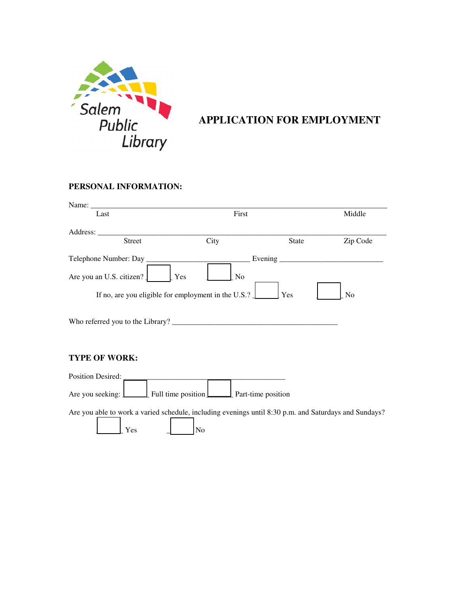

## **APPLICATION FOR EMPLOYMENT**

## **PERSONAL INFORMATION:**

| Name:                                                                   |                       |               |          |  |  |
|-------------------------------------------------------------------------|-----------------------|---------------|----------|--|--|
| Last                                                                    | First                 |               | Middle   |  |  |
| Address:                                                                |                       |               |          |  |  |
| <b>Street</b>                                                           | City                  | <b>State</b>  | Zip Code |  |  |
| Telephone Number: Day                                                   |                       | Evening _____ |          |  |  |
| Are you an U.S. citizen?                                                | Yes<br>N <sub>0</sub> |               |          |  |  |
| If no, are you eligible for employment in the U.S.? $\Box$<br>Yes<br>No |                       |               |          |  |  |
| Who referred you to the Library?                                        |                       |               |          |  |  |

## **TYPE OF WORK:**

| <b>Position Desired:</b> |                                                     |  |
|--------------------------|-----------------------------------------------------|--|
| Are you seeking: L       | $\Box$ Full time position $\Box$ Part-time position |  |

Are you able to work a varied schedule, including evenings until 8:30 p.m. and Saturdays and Sundays?

 $\begin{array}{ccc} \text{Yes} & \quad \quad \end{array}$  No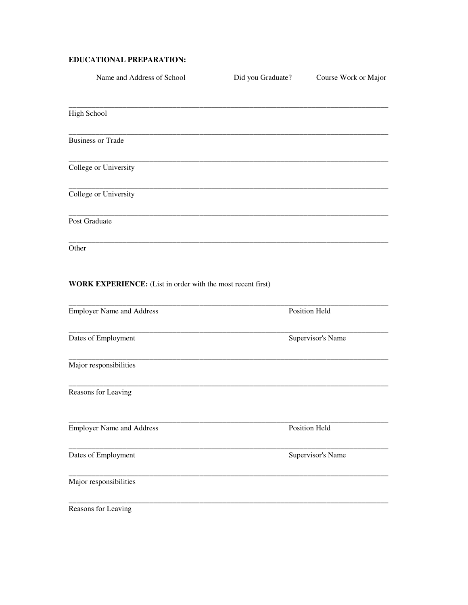## **EDUCATIONAL PREPARATION:**

| Name and Address of School                                  | Did you Graduate? | Course Work or Major |
|-------------------------------------------------------------|-------------------|----------------------|
| High School                                                 |                   |                      |
| <b>Business or Trade</b>                                    |                   |                      |
| College or University                                       |                   |                      |
| College or University                                       |                   |                      |
| Post Graduate                                               |                   |                      |
| Other                                                       |                   |                      |
| WORK EXPERIENCE: (List in order with the most recent first) |                   |                      |
| <b>Employer Name and Address</b>                            |                   | Position Held        |
| Dates of Employment                                         |                   | Supervisor's Name    |
| Major responsibilities                                      |                   |                      |
| Reasons for Leaving                                         |                   |                      |
| <b>Employer Name and Address</b>                            |                   | Position Held        |
| Dates of Employment                                         |                   | Supervisor's Name    |
| Major responsibilities                                      |                   |                      |
| Reasons for Leaving                                         |                   |                      |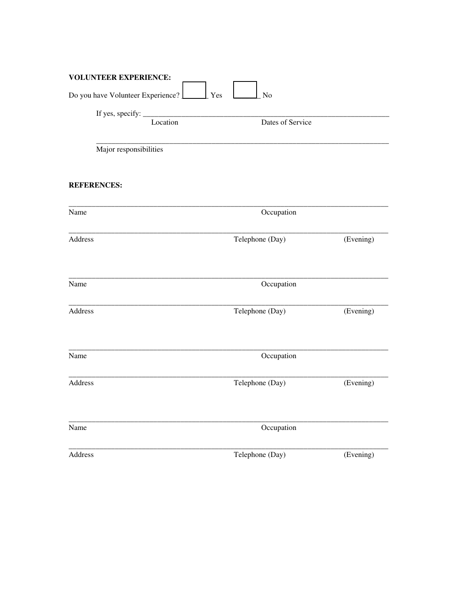| <b>VOLUNTEER EXPERIENCE:</b>              |                  |           |  |
|-------------------------------------------|------------------|-----------|--|
| Do you have Volunteer Experience?         | Yes<br>No        |           |  |
| If yes, specify: $\overline{\phantom{a}}$ |                  |           |  |
| Location                                  | Dates of Service |           |  |
| Major responsibilities                    |                  |           |  |
| <b>REFERENCES:</b>                        |                  |           |  |
| Name                                      | Occupation       |           |  |
| Address                                   | Telephone (Day)  | (Evening) |  |
| Name                                      | Occupation       |           |  |
| Address                                   | Telephone (Day)  | (Evening) |  |
| Name                                      | Occupation       |           |  |
| Address                                   | Telephone (Day)  | (Evening) |  |
| Name                                      | Occupation       |           |  |
| Address                                   | Telephone (Day)  | (Evening) |  |